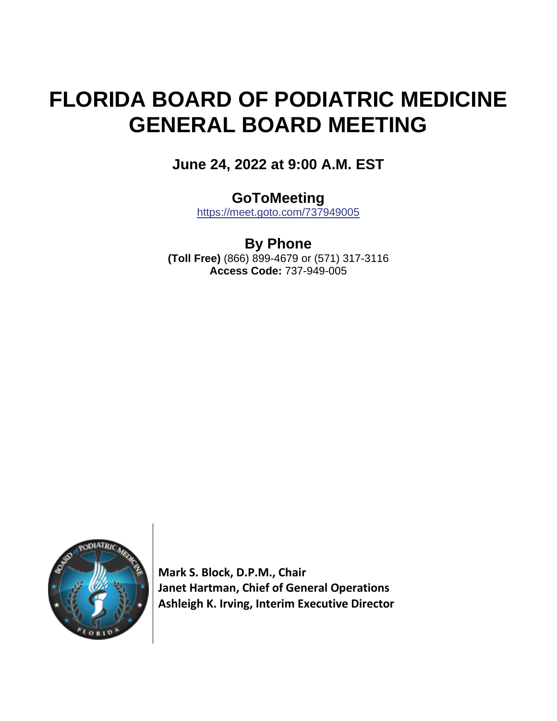# **FLORIDA BOARD OF PODIATRIC MEDICINE GENERAL BOARD MEETING**

**June 24, 2022 at 9:00 A.M. EST**

## **GoToMeeting**

<https://meet.goto.com/737949005>

**By Phone (Toll Free)** (866) 899-4679 or (571) 317-3116 **Access Code:** 737-949-005



**Mark S. Block, D.P.M., Chair Janet Hartman, Chief of General Operations Ashleigh K. Irving, Interim Executive Director**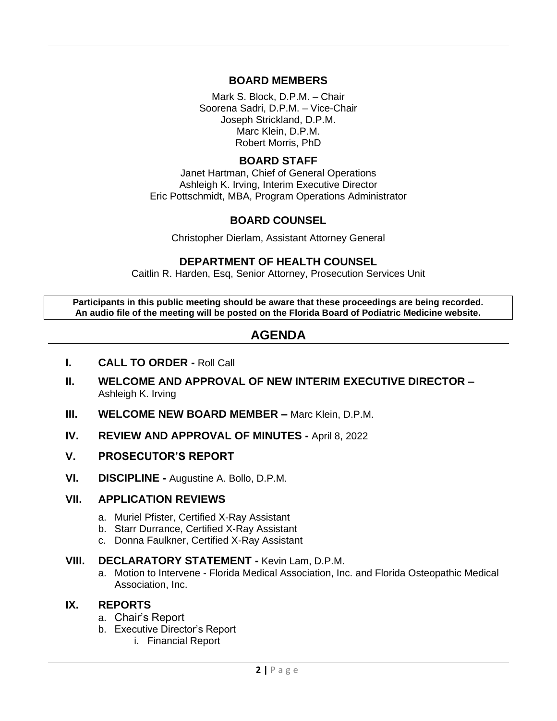## **BOARD MEMBERS**

Mark S. Block, D.P.M. – Chair Soorena Sadri, D.P.M. – Vice-Chair Joseph Strickland, D.P.M. Marc Klein, D.P.M. Robert Morris, PhD

## **BOARD STAFF**

Janet Hartman, Chief of General Operations Ashleigh K. Irving, Interim Executive Director Eric Pottschmidt, MBA, Program Operations Administrator

## **BOARD COUNSEL**

Christopher Dierlam, Assistant Attorney General

## **DEPARTMENT OF HEALTH COUNSEL**

Caitlin R. Harden, Esq, Senior Attorney, Prosecution Services Unit

**Participants in this public meeting should be aware that these proceedings are being recorded. An audio file of the meeting will be posted on the Florida Board of Podiatric Medicine website.**

## **AGENDA**

- **I. CALL TO ORDER -** Roll Call
- **II. WELCOME AND APPROVAL OF NEW INTERIM EXECUTIVE DIRECTOR –** Ashleigh K. Irving
- **III. WELCOME NEW BOARD MEMBER –** Marc Klein, D.P.M.
- **IV. REVIEW AND APPROVAL OF MINUTES -** April 8, 2022
- **V. PROSECUTOR'S REPORT**
- **VI. DISCIPLINE -** Augustine A. Bollo, D.P.M.

## **VII. APPLICATION REVIEWS**

- a. Muriel Pfister, Certified X-Ray Assistant
- b. Starr Durrance, Certified X-Ray Assistant
- c. Donna Faulkner, Certified X-Ray Assistant

#### **VIII. DECLARATORY STATEMENT -** Kevin Lam, D.P.M.

a. Motion to Intervene - Florida Medical Association, Inc. and Florida Osteopathic Medical Association, Inc.

## **IX. REPORTS**

- a. Chair's Report
- b. Executive Director's Report
	- i. Financial Report